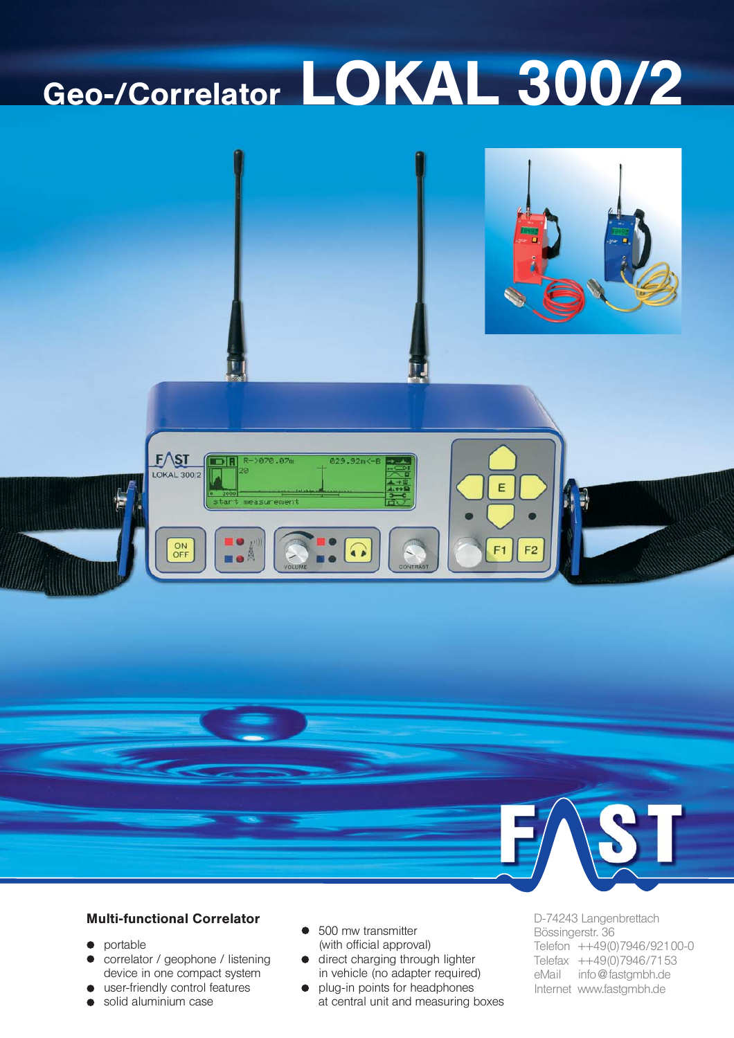# Geo-/Correlator LOKAL 300/2





## **Multi-functional Correlator**

- portable  $\bullet$
- correlator / geophone / listening  $\bullet$ device in one compact system
- user-friendly control features
- solid aluminium case  $\bullet$
- 500 mw transmitter (with official approval)
- direct charging through lighter in vehicle (no adapter required)
- plug-in points for headphones  $\bullet$ at central unit and measuring boxes

D-74243 Langenbrettach Bössingerstr. 36 Telefon ++49(0)7946/92100-0 Telefax ++49(0)7946/7153 eMail info@fastgmbh.de Internet www.fastgmbh.de